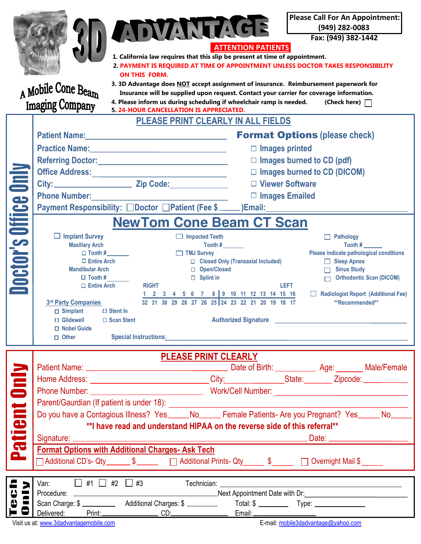|                                                         | ADVANTAGE<br>1. California law requires that this slip be present at time of appointment.<br><b>ON THIS FORM.</b><br>A Mobile Cone Beam<br><b>Imaging Company</b><br>4. Please inform us during scheduling if wheelchair ramp is needed.<br>5. 24-HOUR CANCELLATION IS APPRECIATED.                                                                                                                                                                                               | <b>Please Call For An Appointment:</b><br>(949) 282-0083<br>Fax: (949) 382-1442<br><b>ATTENTION PATIENTS</b><br>2. PAYMENT IS REQUIRED AT TIME OF APPOINTMENT UNLESS DOCTOR TAKES RESPONSIBILITY<br>3. 3D Advantage does NOT accept assignment of insurance. Reimbursement paperwork for<br>Insurance will be supplied upon request. Contact your carrier for coverage information.<br>(Check here) $\Box$ |
|---------------------------------------------------------|-----------------------------------------------------------------------------------------------------------------------------------------------------------------------------------------------------------------------------------------------------------------------------------------------------------------------------------------------------------------------------------------------------------------------------------------------------------------------------------|------------------------------------------------------------------------------------------------------------------------------------------------------------------------------------------------------------------------------------------------------------------------------------------------------------------------------------------------------------------------------------------------------------|
| PLEASE PRINT CLEARLY IN ALL FIELDS                      |                                                                                                                                                                                                                                                                                                                                                                                                                                                                                   |                                                                                                                                                                                                                                                                                                                                                                                                            |
|                                                         | Patient Name: Manual Manual Manual Manual Manual Manual Manual Manual Manual Manual Manual Manual Manual Manua                                                                                                                                                                                                                                                                                                                                                                    | <b>Format Options (please check)</b>                                                                                                                                                                                                                                                                                                                                                                       |
|                                                         |                                                                                                                                                                                                                                                                                                                                                                                                                                                                                   | $\Box$ Images printed                                                                                                                                                                                                                                                                                                                                                                                      |
|                                                         |                                                                                                                                                                                                                                                                                                                                                                                                                                                                                   | $\square$ Images burned to CD (pdf)                                                                                                                                                                                                                                                                                                                                                                        |
|                                                         |                                                                                                                                                                                                                                                                                                                                                                                                                                                                                   | $\Box$ Images burned to CD (DICOM)                                                                                                                                                                                                                                                                                                                                                                         |
|                                                         |                                                                                                                                                                                                                                                                                                                                                                                                                                                                                   | □ Viewer Software                                                                                                                                                                                                                                                                                                                                                                                          |
|                                                         | <b>Phone Number:</b>                                                                                                                                                                                                                                                                                                                                                                                                                                                              | $\Box$ Images Emailed                                                                                                                                                                                                                                                                                                                                                                                      |
|                                                         | Payment Responsibility: □Doctor □Patient (Fee \$<br>□ Doctor □Patient (Fee \$<br>□ Doctor □Patient (Fee \$<br>□                                                                                                                                                                                                                                                                                                                                                                   |                                                                                                                                                                                                                                                                                                                                                                                                            |
|                                                         |                                                                                                                                                                                                                                                                                                                                                                                                                                                                                   |                                                                                                                                                                                                                                                                                                                                                                                                            |
| Doctor's Office Only<br><b>NewTom Cone Beam CT Scan</b> |                                                                                                                                                                                                                                                                                                                                                                                                                                                                                   |                                                                                                                                                                                                                                                                                                                                                                                                            |
|                                                         | $\Box$ Implant Survey<br>$\Box$ Impacted Teeth<br><b>Maxillary Arch</b><br>Tooth $\#$                                                                                                                                                                                                                                                                                                                                                                                             | $\Box$ Pathology<br>Tooth #                                                                                                                                                                                                                                                                                                                                                                                |
|                                                         | $\Box$ Tooth #<br>$\Box$ TMJ Survey                                                                                                                                                                                                                                                                                                                                                                                                                                               | Please indicate pathological conditions                                                                                                                                                                                                                                                                                                                                                                    |
|                                                         | $\Box$ Entire Arch<br>□ Closed Only (Transaxial Included)                                                                                                                                                                                                                                                                                                                                                                                                                         | $\Box$ Sleep Apnea                                                                                                                                                                                                                                                                                                                                                                                         |
|                                                         | <b>Mandibular Arch</b><br>□ Open/Closed<br>$\Box$ Tooth #<br>$\Box$ Splint in                                                                                                                                                                                                                                                                                                                                                                                                     | <b>Sinus Study</b><br><b>Orthodontic Scan (DICOM)</b>                                                                                                                                                                                                                                                                                                                                                      |
|                                                         | $\Box$ Entire Arch<br><b>RIGHT</b>                                                                                                                                                                                                                                                                                                                                                                                                                                                | LEFT                                                                                                                                                                                                                                                                                                                                                                                                       |
|                                                         | 1 2 3 4 5 6 7 8 9 10 11 12 13 14 15 16<br>32 31 30 29 28 27 26 25 24 23 22 21 20 19 18 17<br>Radiologist Report (Additional Fee)<br>3rd Party Companies<br>**Recommended**<br>$\Box$ Stent In<br>$\Box$ Simplant<br>Authorized Signature <b>Authorized Signature Authorized Signature Authorized Signature Authorized Signature Authorized Signature Authorized Signature Authorized Signature Authorized Signature Authorized Signa</b><br>$\Box$ Glidewell<br>$\Box$ Scan Stent |                                                                                                                                                                                                                                                                                                                                                                                                            |
|                                                         |                                                                                                                                                                                                                                                                                                                                                                                                                                                                                   |                                                                                                                                                                                                                                                                                                                                                                                                            |
|                                                         |                                                                                                                                                                                                                                                                                                                                                                                                                                                                                   |                                                                                                                                                                                                                                                                                                                                                                                                            |
|                                                         | $\Box$ Nobel Guide<br>$\Box$ Other                                                                                                                                                                                                                                                                                                                                                                                                                                                | Special Instructions: etc. All and the second services of the services of the services of the services of the services of the services of the services of the services of the services of the services of the services of the                                                                                                                                                                              |
|                                                         |                                                                                                                                                                                                                                                                                                                                                                                                                                                                                   |                                                                                                                                                                                                                                                                                                                                                                                                            |
| <b>PLEASE PRINT CLEARLY</b>                             |                                                                                                                                                                                                                                                                                                                                                                                                                                                                                   |                                                                                                                                                                                                                                                                                                                                                                                                            |
| <b>Dinly</b>                                            |                                                                                                                                                                                                                                                                                                                                                                                                                                                                                   |                                                                                                                                                                                                                                                                                                                                                                                                            |
|                                                         | Home Address: _______________________________City:______________State:________Zipcode: ____________                                                                                                                                                                                                                                                                                                                                                                               |                                                                                                                                                                                                                                                                                                                                                                                                            |
|                                                         |                                                                                                                                                                                                                                                                                                                                                                                                                                                                                   |                                                                                                                                                                                                                                                                                                                                                                                                            |
|                                                         |                                                                                                                                                                                                                                                                                                                                                                                                                                                                                   |                                                                                                                                                                                                                                                                                                                                                                                                            |
|                                                         | Do you have a Contagious Illness? Yes______No_______ Female Patients- Are you Pregnant? Yes______ No_____                                                                                                                                                                                                                                                                                                                                                                         |                                                                                                                                                                                                                                                                                                                                                                                                            |
|                                                         | ** I have read and understand HIPAA on the reverse side of this referral**                                                                                                                                                                                                                                                                                                                                                                                                        |                                                                                                                                                                                                                                                                                                                                                                                                            |
| atient                                                  | . Date: ____________________                                                                                                                                                                                                                                                                                                                                                                                                                                                      |                                                                                                                                                                                                                                                                                                                                                                                                            |
| <u>a.</u>                                               | <b>Format Options with Additional Charges- Ask Tech</b>                                                                                                                                                                                                                                                                                                                                                                                                                           |                                                                                                                                                                                                                                                                                                                                                                                                            |
|                                                         | □ Additional CD's- Qty _______ \$ _______ □ Additional Prints- Qty ______ \$ _____ □ Overnight Mail \$ _____                                                                                                                                                                                                                                                                                                                                                                      |                                                                                                                                                                                                                                                                                                                                                                                                            |
| 2                                                       | Van: $\Box$ #1 $\Box$ #2 $\Box$ #3 Technician: $\Box$                                                                                                                                                                                                                                                                                                                                                                                                                             |                                                                                                                                                                                                                                                                                                                                                                                                            |
|                                                         |                                                                                                                                                                                                                                                                                                                                                                                                                                                                                   |                                                                                                                                                                                                                                                                                                                                                                                                            |
| Teci                                                    |                                                                                                                                                                                                                                                                                                                                                                                                                                                                                   |                                                                                                                                                                                                                                                                                                                                                                                                            |
|                                                         | Delivered: Print: Print: CD: CD: Email: Print: Print: Print: Print: CD: CD: Print: Print: Print: CD: Print: Print: Print: Print: Print: Print: Print: Print: Print: Print: Print: Print: Print: Print: Print: Print: Print: Pr                                                                                                                                                                                                                                                    |                                                                                                                                                                                                                                                                                                                                                                                                            |
|                                                         | Visit us at: www.3dadvantagemobile.com                                                                                                                                                                                                                                                                                                                                                                                                                                            | E-mail: mobile3dadvantage@yahoo.com                                                                                                                                                                                                                                                                                                                                                                        |